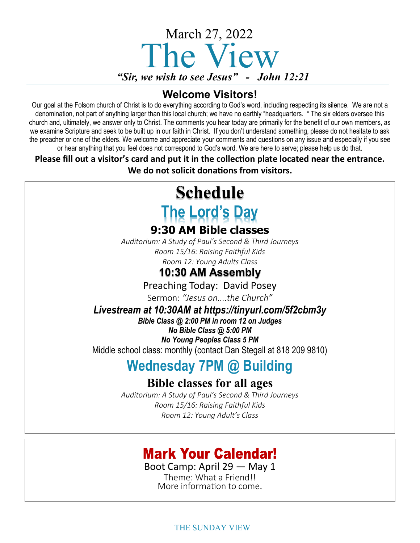

### **Welcome Visitors!**

Our goal at the Folsom church of Christ is to do everything according to God's word, including respecting its silence. We are not a denomination, not part of anything larger than this local church; we have no earthly "headquarters. " The six elders oversee this church and, ultimately, we answer only to Christ. The comments you hear today are primarily for the benefit of our own members, as we examine Scripture and seek to be built up in our faith in Christ. If you don't understand something, please do not hesitate to ask the preacher or one of the elders. We welcome and appreciate your comments and questions on any issue and especially if you see or hear anything that you feel does not correspond to God's word. We are here to serve; please help us do that.

**Please fill out a visitor's card and put it in the collection plate located near the entrance. We do not solicit donations from visitors.**

# **Schedule The Lord's Day**

### **9:30 AM Bible classes**

*Auditorium: A Study of Paul's Second & Third Journeys Room 15/16: Raising Faithful Kids Room 12: Young Adults Class*

### **10:30 AM Assembly**

Preaching Today: David Posey

Sermon: *"Jesus on....the Church"* 

*Livestream at 10:30AM at https://tinyurl.com/5f2cbm3y* 

*Bible Class @ 2:00 PM in room 12 on Judges No Bible Class @ 5:00 PM No Young Peoples Class 5 PM* 

Middle school class: monthly (contact Dan Stegall at 818 209 9810)

# **Wednesday 7PM @ Building**

### **Bible classes for all ages**

*Auditorium: A Study of Paul's Second & Third Journeys Room 15/16: Raising Faithful Kids Room 12: Young Adult's Class*

## **Mark Your Calendar!**

Boot Camp: April 29 — May 1 Theme: What a Friend!!

More information to come.

THE SUNDAY VIEW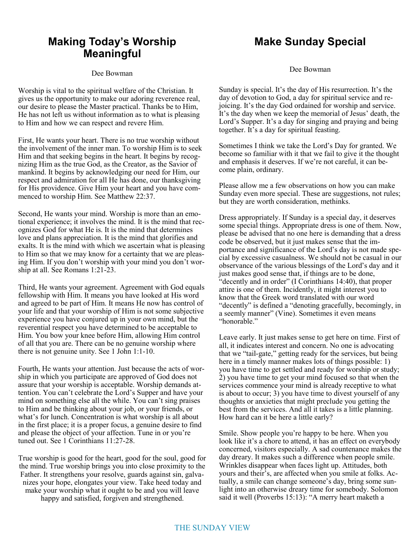### **Making Today's Worship Meaningful**

#### Dee Bowman

Worship is vital to the spiritual welfare of the Christian. It gives us the opportunity to make our adoring reverence real, our desire to please the Master practical. Thanks be to Him, He has not left us without information as to what is pleasing to Him and how we can respect and revere Him.

First, He wants your heart. There is no true worship without the involvement of the inner man. To worship Him is to seek Him and that seeking begins in the heart. It begins by recognizing Him as the true God, as the Creator, as the Savior of mankind. It begins by acknowledging our need for Him, our respect and admiration for all He has done, our thanksgiving for His providence. Give Him your heart and you have commenced to worship Him. See Matthew 22:37.

Second, He wants your mind. Worship is more than an emotional experience; it involves the mind. It is the mind that recognizes God for what He is. It is the mind that determines love and plans appreciation. It is the mind that glorifies and exalts. It is the mind with which we ascertain what is pleasing to Him so that we may know for a certainty that we are pleasing Him. If you don't worship with your mind you don't worship at all. See Romans 1:21-23.

Third, He wants your agreement. Agreement with God equals fellowship with Him. It means you have looked at His word and agreed to be part of Him. It means He now has control of your life and that your worship of Him is not some subjective experience you have conjured up in your own mind, but the reverential respect you have determined to be acceptable to Him. You bow your knee before Him, allowing Him control of all that you are. There can be no genuine worship where there is not genuine unity. See 1 John 1:1-10.

Fourth, He wants your attention. Just because the acts of worship in which you participate are approved of God does not assure that your worship is acceptable. Worship demands attention. You can't celebrate the Lord's Supper and have your mind on something else all the while. You can't sing praises to Him and be thinking about your job, or your friends, or what's for lunch. Concentration is what worship is all about in the first place; it is a proper focus, a genuine desire to find and please the object of your affection. Tune in or you're tuned out. See 1 Corinthians 11:27-28.

True worship is good for the heart, good for the soul, good for the mind. True worship brings you into close proximity to the Father. It strengthens your resolve, guards against sin, galvanizes your hope, elongates your view. Take heed today and make your worship what it ought to be and you will leave happy and satisfied, forgiven and strengthened.

### **Make Sunday Special**

Dee Bowman

Sunday is special. It's the day of His resurrection. It's the day of devotion to God, a day for spiritual service and rejoicing. It's the day God ordained for worship and service. It's the day when we keep the memorial of Jesus' death, the Lord's Supper. It's a day for singing and praying and being together. It's a day for spiritual feasting.

Sometimes I think we take the Lord's Day for granted. We become so familiar with it that we fail to give it the thought and emphasis it deserves. If we're not careful, it can become plain, ordinary.

Please allow me a few observations on how you can make Sunday even more special. These are suggestions, not rules; but they are worth consideration, methinks.

Dress appropriately. If Sunday is a special day, it deserves some special things. Appropriate dress is one of them. Now, please be advised that no one here is demanding that a dress code be observed, but it just makes sense that the importance and significance of the Lord's day is not made special by excessive casualness. We should not be casual in our observance of the various blessings of the Lord's day and it just makes good sense that, if things are to be done, "decently and in order" (I Corinthians 14:40), that proper attire is one of them. Incidently, it might interest you to know that the Greek word translated with our word "decently" is defined a "denoting gracefully, becomingly, in a seemly manner" (Vine). Sometimes it even means "honorable."

Leave early. It just makes sense to get here on time. First of all, it indicates interest and concern. No one is advocating that we "tail-gate," getting ready for the services, but being here in a timely manner makes lots of things possible: 1) you have time to get settled and ready for worship or study; 2) you have time to get your mind focused so that when the services commence your mind is already receptive to what is about to occur; 3) you have time to divest yourself of any thoughts or anxieties that might preclude you getting the best from the services. And all it takes is a little planning. How hard can it be here a little early?

Smile. Show people you're happy to be here. When you look like it's a chore to attend, it has an effect on everybody concerned, visitors especially. A sad countenance makes the day dreary. It makes such a difference when people smile. Wrinkles disappear when faces light up. Attitudes, both yours and their's, are affected when you smile at folks. Actually, a smile can change someone's day, bring some sunlight into an otherwise dreary time for somebody. Solomon said it well (Proverbs 15:13): "A merry heart maketh a